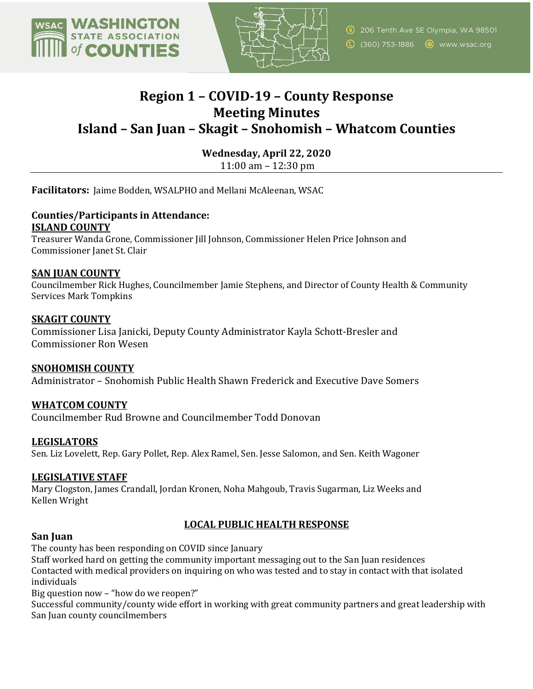



## **Region 1 – COVID-19 – County Response Meeting Minutes Island – San Juan – Skagit – Snohomish – Whatcom Counties**

**Wednesday, April 22, 2020**

11:00 am  $-$  12:30 pm

**Facilitators:** Jaime Bodden, WSALPHO and Mellani McAleenan, WSAC

# **Counties/Participants in Attendance:**

**ISLAND COUNTY** 

Treasurer Wanda Grone, Commissioner Jill Johnson, Commissioner Helen Price Johnson and Commissioner Janet St. Clair

## **SAN JUAN COUNTY**

Councilmember Rick Hughes, Councilmember Jamie Stephens, and Director of County Health & Community Services Mark Tompkins

## **SKAGIT COUNTY**

Commissioner Lisa Janicki, Deputy County Administrator Kayla Schott-Bresler and Commissioner Ron Wesen

## **SNOHOMISH COUNTY**

Administrator – Snohomish Public Health Shawn Frederick and Executive Dave Somers

## **WHATCOM COUNTY**

Councilmember Rud Browne and Councilmember Todd Donovan

## **LEGISLATORS**

Sen. Liz Lovelett, Rep. Gary Pollet, Rep. Alex Ramel, Sen. Jesse Salomon, and Sen. Keith Wagoner

## **LEGISLATIVE STAFF**

Mary Clogston, James Crandall, Jordan Kronen, Noha Mahgoub, Travis Sugarman, Liz Weeks and Kellen Wright

## LOCAL PUBLIC HEALTH RESPONSE

## **San Juan**

The county has been responding on COVID since January

Staff worked hard on getting the community important messaging out to the San Juan residences Contacted with medical providers on inquiring on who was tested and to stay in contact with that isolated individuals

Big question now  $-$  "how do we reopen?"

Successful community/county wide effort in working with great community partners and great leadership with San Juan county councilmembers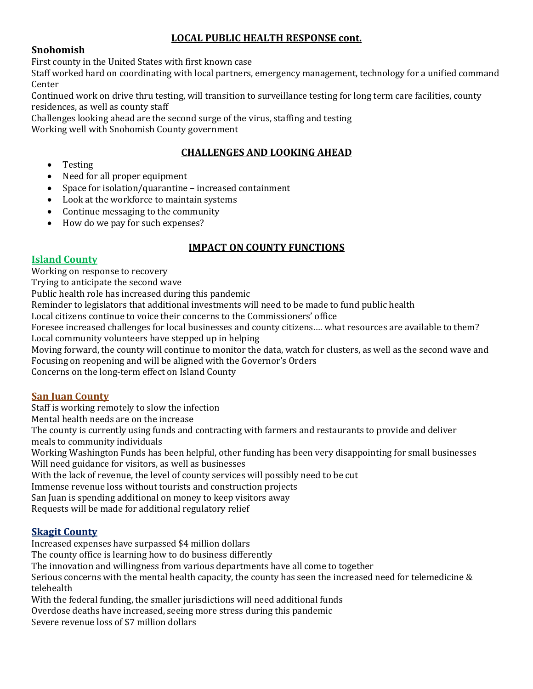## **LOCAL PUBLIC HEALTH RESPONSE cont.**

## **Snohomish**

First county in the United States with first known case

Staff worked hard on coordinating with local partners, emergency management, technology for a unified command Center

Continued work on drive thru testing, will transition to surveillance testing for long term care facilities, county residences, as well as county staff

Challenges looking ahead are the second surge of the virus, staffing and testing

Working well with Snohomish County government

## **CHALLENGES AND LOOKING AHEAD**

- Testing
- Need for all proper equipment
- Space for isolation/quarantine  $-$  increased containment
- Look at the workforce to maintain systems
- Continue messaging to the community
- How do we pay for such expenses?

## **IMPACT ON COUNTY FUNCTIONS**

#### **Island County**

Working on response to recovery

Trying to anticipate the second wave

Public health role has increased during this pandemic

Reminder to legislators that additional investments will need to be made to fund public health

Local citizens continue to voice their concerns to the Commissioners' office

Foresee increased challenges for local businesses and county citizens.... what resources are available to them? Local community volunteers have stepped up in helping

Moving forward, the county will continue to monitor the data, watch for clusters, as well as the second wave and Focusing on reopening and will be aligned with the Governor's Orders

Concerns on the long-term effect on Island County

## **San Juan County**

Staff is working remotely to slow the infection Mental health needs are on the increase The county is currently using funds and contracting with farmers and restaurants to provide and deliver meals to community individuals Working Washington Funds has been helpful, other funding has been very disappointing for small businesses

Will need guidance for visitors, as well as businesses

With the lack of revenue, the level of county services will possibly need to be cut

Immense revenue loss without tourists and construction projects

San Juan is spending additional on money to keep visitors away

Requests will be made for additional regulatory relief

## **Skagit County**

Increased expenses have surpassed \$4 million dollars

The county office is learning how to do business differently

The innovation and willingness from various departments have all come to together

Serious concerns with the mental health capacity, the county has seen the increased need for telemedicine  $\&$ telehealth 

With the federal funding, the smaller jurisdictions will need additional funds

Overdose deaths have increased, seeing more stress during this pandemic

Severe revenue loss of \$7 million dollars